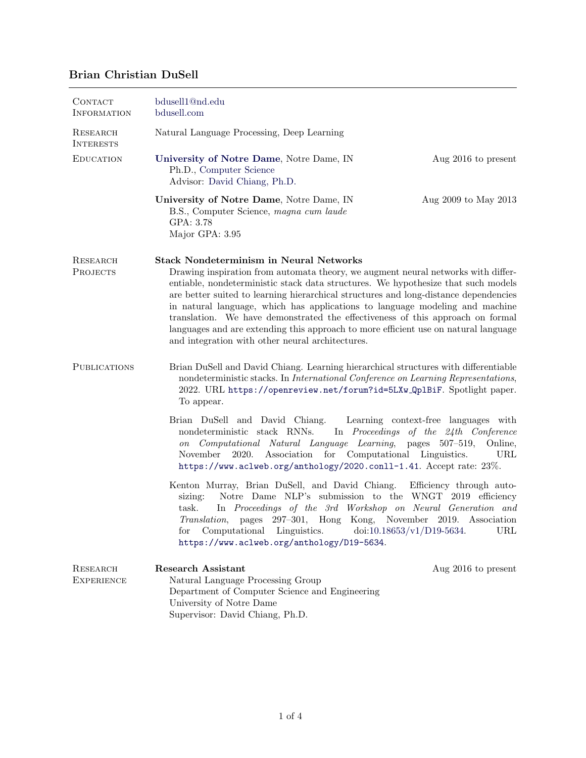## Brian Christian DuSell

| CONTACT<br><b>INFORMATION</b>      | bdusell1@nd.edu<br>bdusell.com                                                                                                                                                                                                                                                                                                                                                                                                                                                                                                                                                                                                |                                                              |  |
|------------------------------------|-------------------------------------------------------------------------------------------------------------------------------------------------------------------------------------------------------------------------------------------------------------------------------------------------------------------------------------------------------------------------------------------------------------------------------------------------------------------------------------------------------------------------------------------------------------------------------------------------------------------------------|--------------------------------------------------------------|--|
| RESEARCH<br><b>INTERESTS</b>       | Natural Language Processing, Deep Learning                                                                                                                                                                                                                                                                                                                                                                                                                                                                                                                                                                                    |                                                              |  |
| <b>EDUCATION</b>                   | University of Notre Dame, Notre Dame, IN<br>Ph.D., Computer Science<br>Advisor: David Chiang, Ph.D.                                                                                                                                                                                                                                                                                                                                                                                                                                                                                                                           | Aug 2016 to present                                          |  |
|                                    | University of Notre Dame, Notre Dame, IN<br>B.S., Computer Science, magna cum laude<br>GPA: 3.78<br>Major GPA: 3.95                                                                                                                                                                                                                                                                                                                                                                                                                                                                                                           | Aug 2009 to May 2013                                         |  |
| <b>RESEARCH</b><br><b>PROJECTS</b> | <b>Stack Nondeterminism in Neural Networks</b><br>Drawing inspiration from automata theory, we augment neural networks with differ-<br>entiable, nondeterministic stack data structures. We hypothesize that such models<br>are better suited to learning hierarchical structures and long-distance dependencies<br>in natural language, which has applications to language modeling and machine<br>translation. We have demonstrated the effectiveness of this approach on formal<br>languages and are extending this approach to more efficient use on natural language<br>and integration with other neural architectures. |                                                              |  |
| <b>PUBLICATIONS</b>                | Brian DuSell and David Chiang. Learning hierarchical structures with differentiable<br>nondeterministic stacks. In International Conference on Learning Representations,<br>2022. URL https://openreview.net/forum?id=5LXw_Qp1BiF. Spotlight paper.<br>To appear.                                                                                                                                                                                                                                                                                                                                                             |                                                              |  |
|                                    | Brian DuSell and David Chiang.<br>Learning context-free languages with<br>nondeterministic stack RNNs.<br>In Proceedings of the 24th Conference<br>Computational Natural Language Learning, pages 507-519,<br>Online,<br>$\,on$<br>Association<br>for Computational Linguistics.<br>November<br>2020.<br>URL<br>https://www.aclweb.org/anthology/2020.conll-1.41. Accept rate: 23%.                                                                                                                                                                                                                                           |                                                              |  |
|                                    | Kenton Murray, Brian DuSell, and David Chiang.<br>Notre Dame NLP's submission to the WNGT 2019 efficiency<br>sizing:<br>In Proceedings of the 3rd Workshop on Neural Generation and<br>task.<br>Translation, pages 297-301, Hong Kong, November 2019. Association<br>Computational Linguistics.<br>for<br>https://www.aclweb.org/anthology/D19-5634.                                                                                                                                                                                                                                                                          | Efficiency through auto-<br>doi:10.18653/v1/D19-5634.<br>URL |  |
| RESEARCH<br><b>EXPERIENCE</b>      | <b>Research Assistant</b><br>Natural Language Processing Group<br>Department of Computer Science and Engineering<br>University of Notre Dame<br>Supervisor: David Chiang, Ph.D.                                                                                                                                                                                                                                                                                                                                                                                                                                               | Aug 2016 to present                                          |  |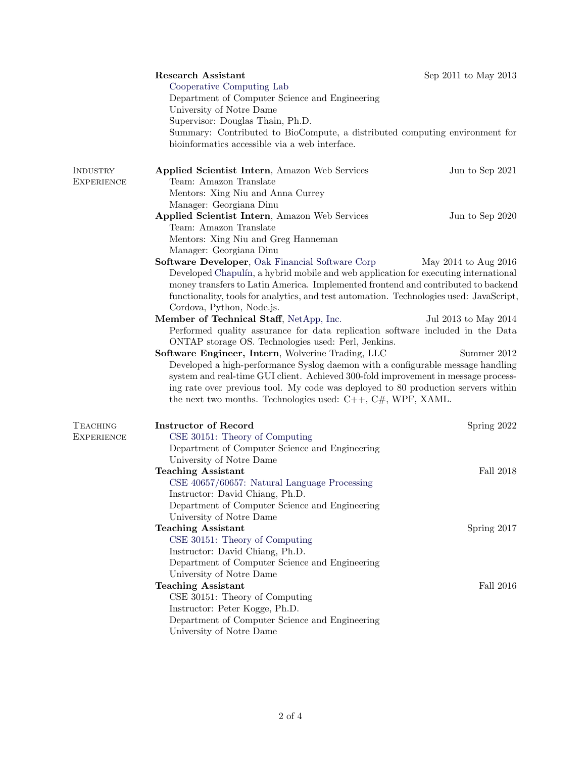|                                      | <b>Research Assistant</b><br>Cooperative Computing Lab<br>Department of Computer Science and Engineering<br>University of Notre Dame<br>Supervisor: Douglas Thain, Ph.D.<br>Summary: Contributed to BioCompute, a distributed computing environment for<br>bioinformatics accessible via a web interface.                                                                                           | Sep 2011 to May 2013 |  |
|--------------------------------------|-----------------------------------------------------------------------------------------------------------------------------------------------------------------------------------------------------------------------------------------------------------------------------------------------------------------------------------------------------------------------------------------------------|----------------------|--|
| INDUSTRY<br><b>EXPERIENCE</b>        | Applied Scientist Intern, Amazon Web Services<br>Team: Amazon Translate<br>Mentors: Xing Niu and Anna Currey                                                                                                                                                                                                                                                                                        | Jun to Sep 2021      |  |
|                                      | Manager: Georgiana Dinu<br>Applied Scientist Intern, Amazon Web Services<br>Team: Amazon Translate<br>Mentors: Xing Niu and Greg Hanneman<br>Manager: Georgiana Dinu                                                                                                                                                                                                                                | Jun to Sep 2020      |  |
|                                      | Software Developer, Oak Financial Software Corp<br>May 2014 to Aug 2016<br>Developed Chapulín, a hybrid mobile and web application for executing international<br>money transfers to Latin America. Implemented frontend and contributed to backend<br>functionality, tools for analytics, and test automation. Technologies used: JavaScript,<br>Cordova, Python, Node.js.                         |                      |  |
|                                      | Member of Technical Staff, NetApp, Inc.<br>Performed quality assurance for data replication software included in the Data<br>ONTAP storage OS. Technologies used: Perl, Jenkins.                                                                                                                                                                                                                    | Jul 2013 to May 2014 |  |
|                                      | Software Engineer, Intern, Wolverine Trading, LLC<br>Summer 2012<br>Developed a high-performance Syslog daemon with a configurable message handling<br>system and real-time GUI client. Achieved 300-fold improvement in message process-<br>ing rate over previous tool. My code was deployed to 80 production servers within<br>the next two months. Technologies used: $C++$ , $C#$ , WPF, XAML. |                      |  |
| <b>TEACHING</b><br><b>EXPERIENCE</b> | <b>Instructor of Record</b><br>CSE 30151: Theory of Computing<br>Department of Computer Science and Engineering                                                                                                                                                                                                                                                                                     | Spring 2022          |  |
|                                      | University of Notre Dame<br><b>Teaching Assistant</b><br>CSE 40657/60657: Natural Language Processing<br>Instructor: David Chiang, Ph.D.<br>Department of Computer Science and Engineering                                                                                                                                                                                                          | Fall 2018            |  |
|                                      | University of Notre Dame<br><b>Teaching Assistant</b><br>CSE 30151: Theory of Computing<br>Instructor: David Chiang, Ph.D.<br>Department of Computer Science and Engineering                                                                                                                                                                                                                        | Spring 2017          |  |
|                                      | University of Notre Dame<br><b>Teaching Assistant</b><br>CSE 30151: Theory of Computing<br>Instructor: Peter Kogge, Ph.D.<br>Department of Computer Science and Engineering<br>University of Notre Dame                                                                                                                                                                                             | Fall 2016            |  |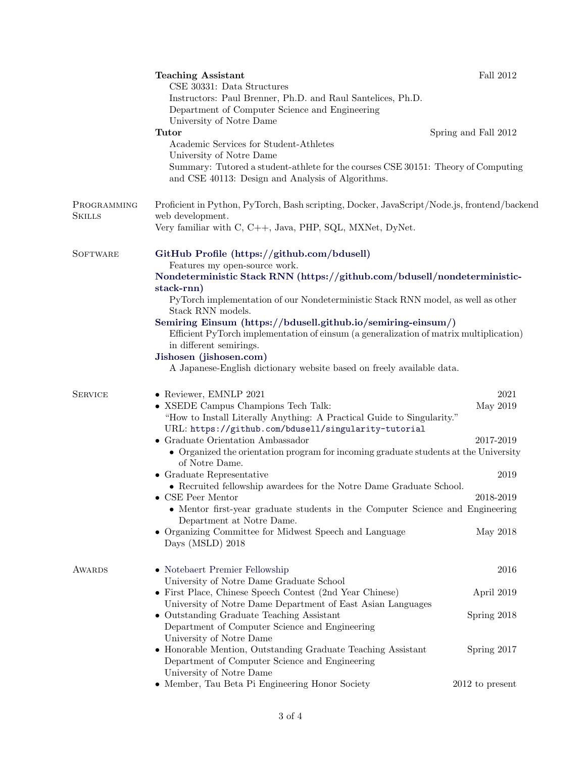|                              | <b>Teaching Assistant</b><br>CSE 30331: Data Structures<br>Instructors: Paul Brenner, Ph.D. and Raul Santelices, Ph.D.<br>Department of Computer Science and Engineering<br>University of Notre Dame<br>Tutor<br>Academic Services for Student-Athletes<br>University of Notre Dame<br>Summary: Tutored a student-athlete for the courses CSE 30151: Theory of Computing<br>and CSE 40113: Design and Analysis of Algorithms.                                                                                                                                                                                                                                                      | Fall 2012<br>Spring and Fall 2012                                     |
|------------------------------|------------------------------------------------------------------------------------------------------------------------------------------------------------------------------------------------------------------------------------------------------------------------------------------------------------------------------------------------------------------------------------------------------------------------------------------------------------------------------------------------------------------------------------------------------------------------------------------------------------------------------------------------------------------------------------|-----------------------------------------------------------------------|
| PROGRAMMING<br><b>SKILLS</b> | Proficient in Python, PyTorch, Bash scripting, Docker, JavaScript/Node.js, frontend/backend<br>web development.<br>Very familiar with C, C++, Java, PHP, SQL, MXNet, DyNet.                                                                                                                                                                                                                                                                                                                                                                                                                                                                                                        |                                                                       |
| <b>SOFTWARE</b>              | GitHub Profile (https://github.com/bdusell)<br>Features my open-source work.<br>Nondeterministic Stack RNN (https://github.com/bdusell/nondeterministic-<br>stack-rnn)<br>PyTorch implementation of our Nondeterministic Stack RNN model, as well as other<br>Stack RNN models.<br>Semiring Einsum (https://bdusell.github.io/semiring-einsum/)<br>Efficient PyTorch implementation of einsum (a generalization of matrix multiplication)<br>in different semirings.<br>Jishosen (jishosen.com)<br>A Japanese-English dictionary website based on freely available data.                                                                                                           |                                                                       |
| <b>SERVICE</b>               | • Reviewer, EMNLP 2021<br>• XSEDE Campus Champions Tech Talk:<br>"How to Install Literally Anything: A Practical Guide to Singularity."<br>URL: https://github.com/bdusell/singularity-tutorial<br>$\bullet~$ Graduate Orientation Ambassador<br>• Organized the orientation program for incoming graduate students at the University<br>of Notre Dame.<br>$\bullet$ Graduate Representative<br>• Recruited fellowship awardees for the Notre Dame Graduate School.<br>CSE Peer Mentor<br>• Mentor first-year graduate students in the Computer Science and Engineering<br>Department at Notre Dame.<br>• Organizing Committee for Midwest Speech and Language<br>Days (MSLD) 2018 | $2021\,$<br>May 2019<br>2017-2019<br>2019<br>2018-2019<br>May 2018    |
| <b>AWARDS</b>                | • Notebaert Premier Fellowship<br>University of Notre Dame Graduate School<br>• First Place, Chinese Speech Contest (2nd Year Chinese)<br>University of Notre Dame Department of East Asian Languages<br>• Outstanding Graduate Teaching Assistant<br>Department of Computer Science and Engineering<br>University of Notre Dame<br>• Honorable Mention, Outstanding Graduate Teaching Assistant<br>Department of Computer Science and Engineering<br>University of Notre Dame<br>$\bullet\,$ Member, Tau Beta Pi Engineering Honor Society                                                                                                                                        | 2016<br>April 2019<br>Spring 2018<br>Spring 2017<br>$2012$ to present |